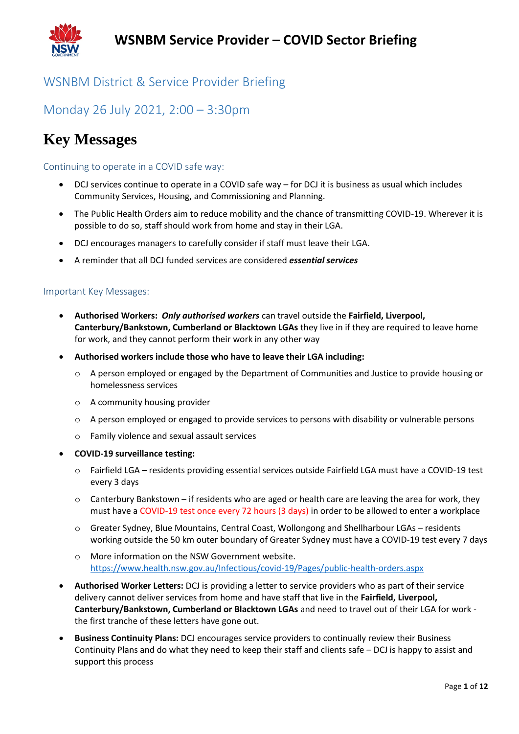

### WSNBM District & Service Provider Briefing

### Monday 26 July 2021, 2:00 – 3:30pm

## **Key Messages**

#### Continuing to operate in a COVID safe way:

- DCJ services continue to operate in a COVID safe way for DCJ it is business as usual which includes Community Services, Housing, and Commissioning and Planning.
- The Public Health Orders aim to reduce mobility and the chance of transmitting COVID-19. Wherever it is possible to do so, staff should work from home and stay in their LGA.
- DCJ encourages managers to carefully consider if staff must leave their LGA.
- A reminder that all DCJ funded services are considered *essential services*

#### Important Key Messages:

- **Authorised Workers:** *Only authorised workers* can travel outside the **Fairfield, Liverpool, Canterbury/Bankstown, Cumberland or Blacktown LGAs** they live in if they are required to leave home for work, and they cannot perform their work in any other way
- **Authorised workers include those who have to leave their LGA including:** 
	- $\circ$  A person employed or engaged by the Department of Communities and Justice to provide housing or homelessness services
	- o A community housing provider
	- $\circ$  A person employed or engaged to provide services to persons with disability or vulnerable persons
	- o Family violence and sexual assault services
- **COVID-19 surveillance testing:**
	- o Fairfield LGA residents providing essential services outside Fairfield LGA must have a COVID-19 test every 3 days
	- $\circ$  Canterbury Bankstown if residents who are aged or health care are leaving the area for work, they must have a COVID-19 test once every 72 hours (3 days) in order to be allowed to enter a workplace
	- o Greater Sydney, Blue Mountains, Central Coast, Wollongong and Shellharbour LGAs residents working outside the 50 km outer boundary of Greater Sydney must have a COVID-19 test every 7 days
	- o More information on the NSW Government website. <https://www.health.nsw.gov.au/Infectious/covid-19/Pages/public-health-orders.aspx>
- **Authorised Worker Letters:** DCJ is providing a letter to service providers who as part of their service delivery cannot deliver services from home and have staff that live in the **Fairfield, Liverpool, Canterbury/Bankstown, Cumberland or Blacktown LGAs** and need to travel out of their LGA for work the first tranche of these letters have gone out.
- **Business Continuity Plans:** DCJ encourages service providers to continually review their Business Continuity Plans and do what they need to keep their staff and clients safe – DCJ is happy to assist and support this process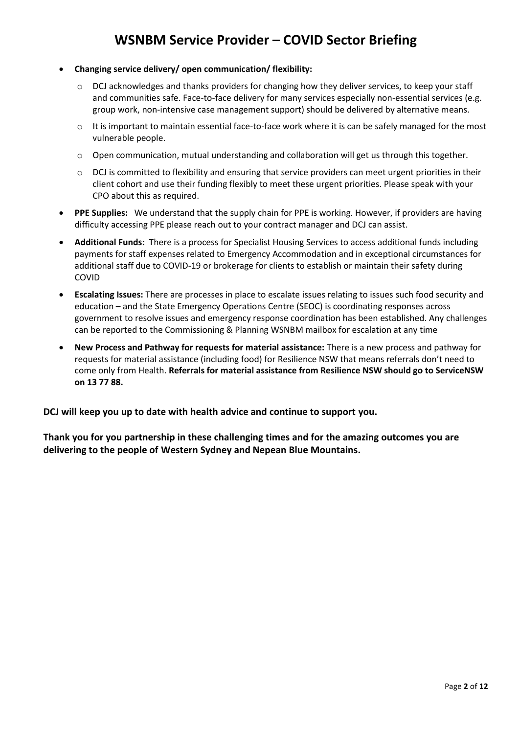- **Changing service delivery/ open communication/ flexibility:**
	- o DCJ acknowledges and thanks providers for changing how they deliver services, to keep your staff and communities safe. Face-to-face delivery for many services especially non-essential services (e.g. group work, non-intensive case management support) should be delivered by alternative means.
	- $\circ$  It is important to maintain essential face-to-face work where it is can be safely managed for the most vulnerable people.
	- o Open communication, mutual understanding and collaboration will get us through this together.
	- o DCJ is committed to flexibility and ensuring that service providers can meet urgent priorities in their client cohort and use their funding flexibly to meet these urgent priorities. Please speak with your CPO about this as required.
- **PPE Supplies:** We understand that the supply chain for PPE is working. However, if providers are having difficulty accessing PPE please reach out to your contract manager and DCJ can assist.
- **Additional Funds:** There is a process for Specialist Housing Services to access additional funds including payments for staff expenses related to Emergency Accommodation and in exceptional circumstances for additional staff due to COVID-19 or brokerage for clients to establish or maintain their safety during COVID
- **Escalating Issues:** There are processes in place to escalate issues relating to issues such food security and education – and the State Emergency Operations Centre (SEOC) is coordinating responses across government to resolve issues and emergency response coordination has been established. Any challenges can be reported to the Commissioning & Planning WSNBM mailbox for escalation at any time
- **New Process and Pathway for requests for material assistance:** There is a new process and pathway for requests for material assistance (including food) for Resilience NSW that means referrals don't need to come only from Health. **Referrals for material assistance from Resilience NSW should go to ServiceNSW on 13 77 88.**

**DCJ will keep you up to date with health advice and continue to support you.** 

**Thank you for you partnership in these challenging times and for the amazing outcomes you are delivering to the people of Western Sydney and Nepean Blue Mountains.**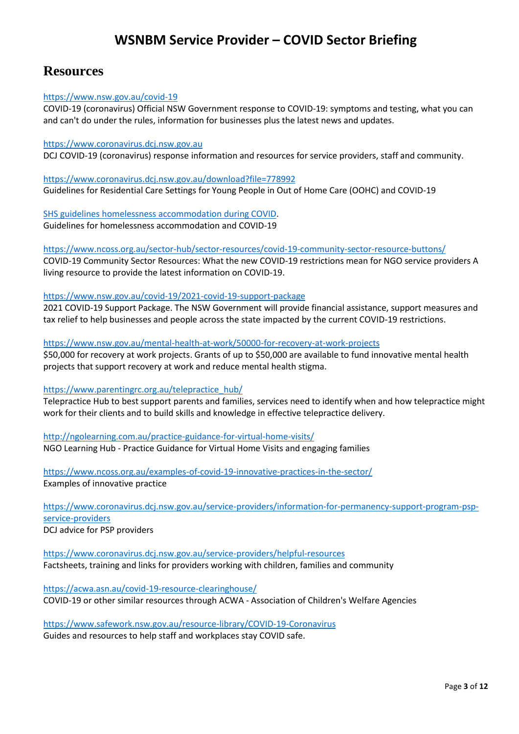### **Resources**

#### <https://www.nsw.gov.au/covid-19>

COVID-19 (coronavirus) Official NSW Government response to COVID-19: symptoms and testing, what you can and can't do under the rules, information for businesses plus the latest news and updates.

#### [https://www.coronavirus.dcj.nsw.gov.au](https://www.coronavirus.dcj.nsw.gov.au/)

DCJ COVID-19 (coronavirus) response information and resources for service providers, staff and community.

<https://www.coronavirus.dcj.nsw.gov.au/download?file=778992> Guidelines for Residential Care Settings for Young People in Out of Home Care (OOHC) and COVID-19

[SHS guidelines homelessness accommodation](https://www.facs.nsw.gov.au/download?file=777047) during COVID. Guidelines for homelessness accommodation and COVID-19

<https://www.ncoss.org.au/sector-hub/sector-resources/covid-19-community-sector-resource-buttons/>

COVID-19 Community Sector Resources: What the new COVID-19 restrictions mean for NGO service providers A living resource to provide the latest information on COVID-19.

#### <https://www.nsw.gov.au/covid-19/2021-covid-19-support-package>

2021 COVID-19 Support Package. The NSW Government will provide financial assistance, support measures and tax relief to help businesses and people across the state impacted by the current COVID-19 restrictions.

<https://www.nsw.gov.au/mental-health-at-work/50000-for-recovery-at-work-projects> \$50,000 for recovery at work projects. Grants of up to \$50,000 are available to fund innovative mental health projects that support recovery at work and reduce mental health stigma.

#### [https://www.parentingrc.org.au/telepractice\\_hub/](https://www.parentingrc.org.au/telepractice_hub/)

Telepractice Hub to best support parents and families, services need to identify when and how telepractice might work for their clients and to build skills and knowledge in effective telepractice delivery.

<http://ngolearning.com.au/practice-guidance-for-virtual-home-visits/> NGO Learning Hub - Practice Guidance for Virtual Home Visits and engaging families

<https://www.ncoss.org.au/examples-of-covid-19-innovative-practices-in-the-sector/> Examples of innovative practice

[https://www.coronavirus.dcj.nsw.gov.au/service-providers/information-for-permanency-support-program-psp](https://www.coronavirus.dcj.nsw.gov.au/service-providers/information-for-permanency-support-program-psp-service-providers)[service-providers](https://www.coronavirus.dcj.nsw.gov.au/service-providers/information-for-permanency-support-program-psp-service-providers) DCJ advice for PSP providers

<https://www.coronavirus.dcj.nsw.gov.au/service-providers/helpful-resources> Factsheets, training and links for providers working with children, families and community

<https://acwa.asn.au/covid-19-resource-clearinghouse/> COVID-19 or other similar resources through ACWA - Association of Children's Welfare Agencies

<https://www.safework.nsw.gov.au/resource-library/COVID-19-Coronavirus>

Guides and resources to help staff and workplaces stay COVID safe.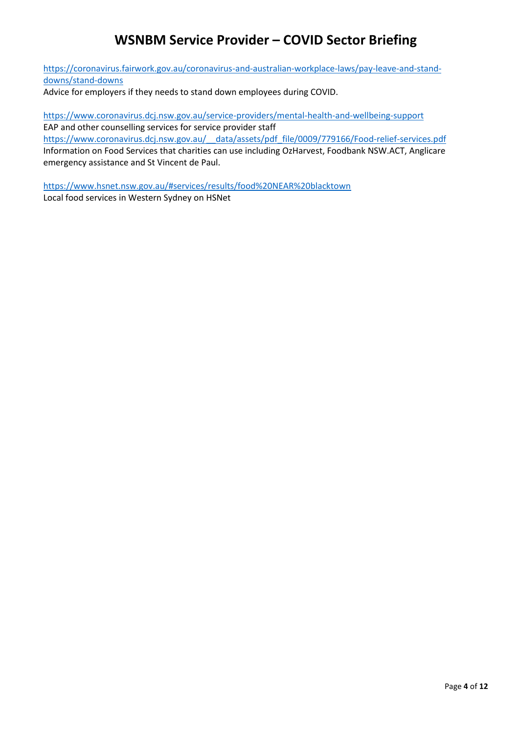[https://coronavirus.fairwork.gov.au/coronavirus-and-australian-workplace-laws/pay-leave-and-stand](https://coronavirus.fairwork.gov.au/coronavirus-and-australian-workplace-laws/pay-leave-and-stand-downs/stand-downs)[downs/stand-downs](https://coronavirus.fairwork.gov.au/coronavirus-and-australian-workplace-laws/pay-leave-and-stand-downs/stand-downs)

Advice for employers if they needs to stand down employees during COVID.

<https://www.coronavirus.dcj.nsw.gov.au/service-providers/mental-health-and-wellbeing-support> EAP and other counselling services for service provider staff https://www.coronavirus.dcj.nsw.gov.au/ data/assets/pdf file/0009/779166/Food-relief-services.pdf Information on Food Services that charities can use including OzHarvest, Foodbank NSW.ACT, Anglicare emergency assistance and St Vincent de Paul.

<https://www.hsnet.nsw.gov.au/#services/results/food%20NEAR%20blacktown> Local food services in Western Sydney on HSNet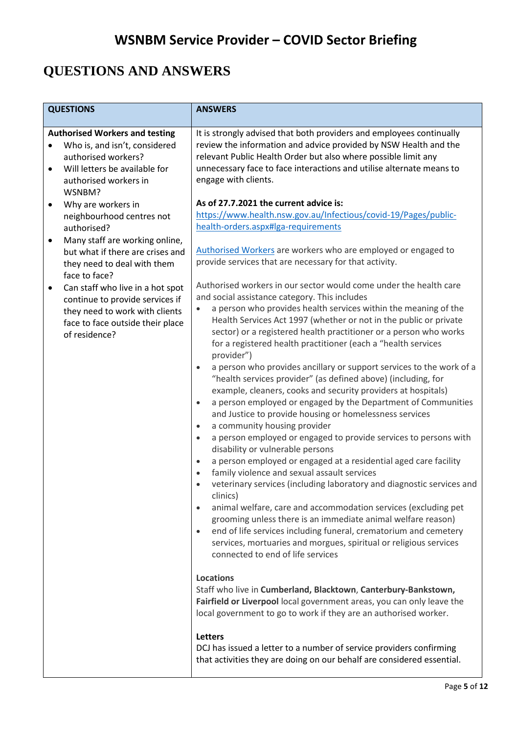## **QUESTIONS AND ANSWERS**

| <b>QUESTIONS</b>                                                                                                                                                                              | <b>ANSWERS</b>                                                                                                                                                                                                                                                                                                                                                                                                                                                                                                                                                                                                                                                                                                                                                                                                                                                                                                                                                                                                                                                                                                                                                                                                                                                                                                                                                                                                                                                                                                                                         |
|-----------------------------------------------------------------------------------------------------------------------------------------------------------------------------------------------|--------------------------------------------------------------------------------------------------------------------------------------------------------------------------------------------------------------------------------------------------------------------------------------------------------------------------------------------------------------------------------------------------------------------------------------------------------------------------------------------------------------------------------------------------------------------------------------------------------------------------------------------------------------------------------------------------------------------------------------------------------------------------------------------------------------------------------------------------------------------------------------------------------------------------------------------------------------------------------------------------------------------------------------------------------------------------------------------------------------------------------------------------------------------------------------------------------------------------------------------------------------------------------------------------------------------------------------------------------------------------------------------------------------------------------------------------------------------------------------------------------------------------------------------------------|
| <b>Authorised Workers and testing</b><br>Who is, and isn't, considered<br>authorised workers?<br>Will letters be available for<br>$\bullet$<br>authorised workers in<br>WSNBM?                | It is strongly advised that both providers and employees continually<br>review the information and advice provided by NSW Health and the<br>relevant Public Health Order but also where possible limit any<br>unnecessary face to face interactions and utilise alternate means to<br>engage with clients.                                                                                                                                                                                                                                                                                                                                                                                                                                                                                                                                                                                                                                                                                                                                                                                                                                                                                                                                                                                                                                                                                                                                                                                                                                             |
| Why are workers in<br>$\bullet$<br>neighbourhood centres not<br>authorised?<br>Many staff are working online,<br>$\bullet$<br>but what if there are crises and<br>they need to deal with them | As of 27.7.2021 the current advice is:<br>https://www.health.nsw.gov.au/Infectious/covid-19/Pages/public-<br>health-orders.aspx#lga-requirements<br>Authorised Workers are workers who are employed or engaged to<br>provide services that are necessary for that activity.                                                                                                                                                                                                                                                                                                                                                                                                                                                                                                                                                                                                                                                                                                                                                                                                                                                                                                                                                                                                                                                                                                                                                                                                                                                                            |
| face to face?<br>Can staff who live in a hot spot<br>$\bullet$<br>continue to provide services if<br>they need to work with clients<br>face to face outside their place<br>of residence?      | Authorised workers in our sector would come under the health care<br>and social assistance category. This includes<br>a person who provides health services within the meaning of the<br>$\bullet$<br>Health Services Act 1997 (whether or not in the public or private<br>sector) or a registered health practitioner or a person who works<br>for a registered health practitioner (each a "health services<br>provider")<br>a person who provides ancillary or support services to the work of a<br>$\bullet$<br>"health services provider" (as defined above) (including, for<br>example, cleaners, cooks and security providers at hospitals)<br>a person employed or engaged by the Department of Communities<br>$\bullet$<br>and Justice to provide housing or homelessness services<br>a community housing provider<br>$\bullet$<br>a person employed or engaged to provide services to persons with<br>$\bullet$<br>disability or vulnerable persons<br>a person employed or engaged at a residential aged care facility<br>$\bullet$<br>family violence and sexual assault services<br>$\bullet$<br>veterinary services (including laboratory and diagnostic services and<br>$\bullet$<br>clinics)<br>animal welfare, care and accommodation services (excluding pet<br>$\bullet$<br>grooming unless there is an immediate animal welfare reason)<br>end of life services including funeral, crematorium and cemetery<br>$\bullet$<br>services, mortuaries and morgues, spiritual or religious services<br>connected to end of life services |
|                                                                                                                                                                                               | <b>Locations</b><br>Staff who live in Cumberland, Blacktown, Canterbury-Bankstown,<br>Fairfield or Liverpool local government areas, you can only leave the<br>local government to go to work if they are an authorised worker.<br><b>Letters</b><br>DCJ has issued a letter to a number of service providers confirming<br>that activities they are doing on our behalf are considered essential.                                                                                                                                                                                                                                                                                                                                                                                                                                                                                                                                                                                                                                                                                                                                                                                                                                                                                                                                                                                                                                                                                                                                                     |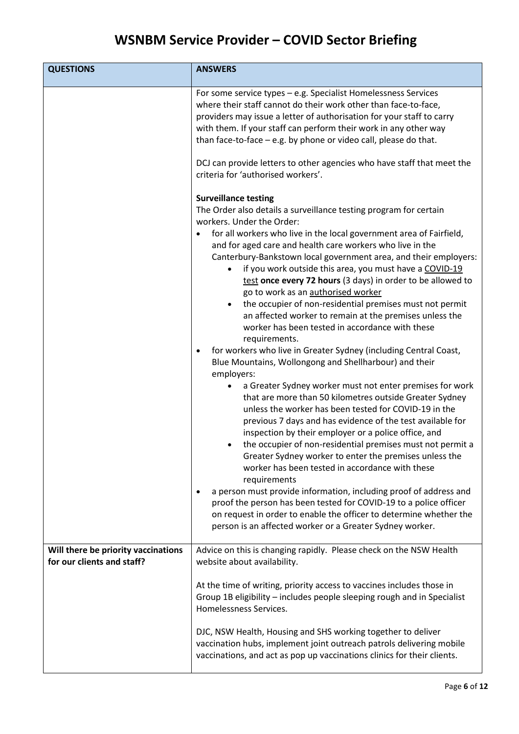| <b>QUESTIONS</b>                                                  | <b>ANSWERS</b>                                                                                                                                                                                                                                                                                                                                                                                                                                                                                                                                                                                                                                                                                                                                                                                                                                                                                                                                                                                                                                                                                                                                                                                                                                                                                                                                                                                                                                                                                                                                                                                                                                                                             |
|-------------------------------------------------------------------|--------------------------------------------------------------------------------------------------------------------------------------------------------------------------------------------------------------------------------------------------------------------------------------------------------------------------------------------------------------------------------------------------------------------------------------------------------------------------------------------------------------------------------------------------------------------------------------------------------------------------------------------------------------------------------------------------------------------------------------------------------------------------------------------------------------------------------------------------------------------------------------------------------------------------------------------------------------------------------------------------------------------------------------------------------------------------------------------------------------------------------------------------------------------------------------------------------------------------------------------------------------------------------------------------------------------------------------------------------------------------------------------------------------------------------------------------------------------------------------------------------------------------------------------------------------------------------------------------------------------------------------------------------------------------------------------|
|                                                                   | For some service types - e.g. Specialist Homelessness Services<br>where their staff cannot do their work other than face-to-face,<br>providers may issue a letter of authorisation for your staff to carry<br>with them. If your staff can perform their work in any other way<br>than face-to-face - e.g. by phone or video call, please do that.                                                                                                                                                                                                                                                                                                                                                                                                                                                                                                                                                                                                                                                                                                                                                                                                                                                                                                                                                                                                                                                                                                                                                                                                                                                                                                                                         |
|                                                                   | DCJ can provide letters to other agencies who have staff that meet the<br>criteria for 'authorised workers'.                                                                                                                                                                                                                                                                                                                                                                                                                                                                                                                                                                                                                                                                                                                                                                                                                                                                                                                                                                                                                                                                                                                                                                                                                                                                                                                                                                                                                                                                                                                                                                               |
|                                                                   | <b>Surveillance testing</b><br>The Order also details a surveillance testing program for certain<br>workers. Under the Order:<br>for all workers who live in the local government area of Fairfield,<br>and for aged care and health care workers who live in the<br>Canterbury-Bankstown local government area, and their employers:<br>if you work outside this area, you must have a COVID-19<br>$\bullet$<br>test once every 72 hours (3 days) in order to be allowed to<br>go to work as an authorised worker<br>the occupier of non-residential premises must not permit<br>$\bullet$<br>an affected worker to remain at the premises unless the<br>worker has been tested in accordance with these<br>requirements.<br>for workers who live in Greater Sydney (including Central Coast,<br>$\bullet$<br>Blue Mountains, Wollongong and Shellharbour) and their<br>employers:<br>a Greater Sydney worker must not enter premises for work<br>that are more than 50 kilometres outside Greater Sydney<br>unless the worker has been tested for COVID-19 in the<br>previous 7 days and has evidence of the test available for<br>inspection by their employer or a police office, and<br>the occupier of non-residential premises must not permit a<br>$\bullet$<br>Greater Sydney worker to enter the premises unless the<br>worker has been tested in accordance with these<br>requirements<br>a person must provide information, including proof of address and<br>$\bullet$<br>proof the person has been tested for COVID-19 to a police officer<br>on request in order to enable the officer to determine whether the<br>person is an affected worker or a Greater Sydney worker. |
| Will there be priority vaccinations<br>for our clients and staff? | Advice on this is changing rapidly. Please check on the NSW Health<br>website about availability.                                                                                                                                                                                                                                                                                                                                                                                                                                                                                                                                                                                                                                                                                                                                                                                                                                                                                                                                                                                                                                                                                                                                                                                                                                                                                                                                                                                                                                                                                                                                                                                          |
|                                                                   | At the time of writing, priority access to vaccines includes those in<br>Group 1B eligibility - includes people sleeping rough and in Specialist<br>Homelessness Services.                                                                                                                                                                                                                                                                                                                                                                                                                                                                                                                                                                                                                                                                                                                                                                                                                                                                                                                                                                                                                                                                                                                                                                                                                                                                                                                                                                                                                                                                                                                 |
|                                                                   | DJC, NSW Health, Housing and SHS working together to deliver<br>vaccination hubs, implement joint outreach patrols delivering mobile<br>vaccinations, and act as pop up vaccinations clinics for their clients.                                                                                                                                                                                                                                                                                                                                                                                                                                                                                                                                                                                                                                                                                                                                                                                                                                                                                                                                                                                                                                                                                                                                                                                                                                                                                                                                                                                                                                                                            |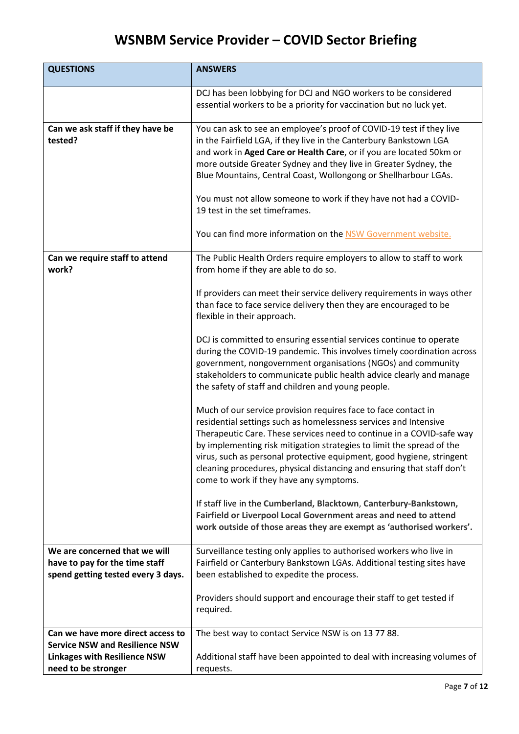| <b>QUESTIONS</b>                                                                                                                         | <b>ANSWERS</b>                                                                                                                                                                                                                                                                                                                                                                                                                                                                                                                 |
|------------------------------------------------------------------------------------------------------------------------------------------|--------------------------------------------------------------------------------------------------------------------------------------------------------------------------------------------------------------------------------------------------------------------------------------------------------------------------------------------------------------------------------------------------------------------------------------------------------------------------------------------------------------------------------|
|                                                                                                                                          | DCJ has been lobbying for DCJ and NGO workers to be considered<br>essential workers to be a priority for vaccination but no luck yet.                                                                                                                                                                                                                                                                                                                                                                                          |
| Can we ask staff if they have be<br>tested?                                                                                              | You can ask to see an employee's proof of COVID-19 test if they live<br>in the Fairfield LGA, if they live in the Canterbury Bankstown LGA<br>and work in Aged Care or Health Care, or if you are located 50km or<br>more outside Greater Sydney and they live in Greater Sydney, the<br>Blue Mountains, Central Coast, Wollongong or Shellharbour LGAs.<br>You must not allow someone to work if they have not had a COVID-<br>19 test in the set timeframes.<br>You can find more information on the NSW Government website. |
| Can we require staff to attend<br>work?                                                                                                  | The Public Health Orders require employers to allow to staff to work<br>from home if they are able to do so.                                                                                                                                                                                                                                                                                                                                                                                                                   |
|                                                                                                                                          | If providers can meet their service delivery requirements in ways other<br>than face to face service delivery then they are encouraged to be<br>flexible in their approach.                                                                                                                                                                                                                                                                                                                                                    |
|                                                                                                                                          | DCJ is committed to ensuring essential services continue to operate<br>during the COVID-19 pandemic. This involves timely coordination across<br>government, nongovernment organisations (NGOs) and community<br>stakeholders to communicate public health advice clearly and manage<br>the safety of staff and children and young people.                                                                                                                                                                                     |
|                                                                                                                                          | Much of our service provision requires face to face contact in<br>residential settings such as homelessness services and Intensive<br>Therapeutic Care. These services need to continue in a COVID-safe way<br>by implementing risk mitigation strategies to limit the spread of the<br>virus, such as personal protective equipment, good hygiene, stringent<br>cleaning procedures, physical distancing and ensuring that staff don't<br>come to work if they have any symptoms.                                             |
|                                                                                                                                          | If staff live in the Cumberland, Blacktown, Canterbury-Bankstown,<br>Fairfield or Liverpool Local Government areas and need to attend<br>work outside of those areas they are exempt as 'authorised workers'.                                                                                                                                                                                                                                                                                                                  |
| We are concerned that we will<br>have to pay for the time staff<br>spend getting tested every 3 days.                                    | Surveillance testing only applies to authorised workers who live in<br>Fairfield or Canterbury Bankstown LGAs. Additional testing sites have<br>been established to expedite the process.                                                                                                                                                                                                                                                                                                                                      |
|                                                                                                                                          | Providers should support and encourage their staff to get tested if<br>required.                                                                                                                                                                                                                                                                                                                                                                                                                                               |
| Can we have more direct access to<br><b>Service NSW and Resilience NSW</b><br><b>Linkages with Resilience NSW</b><br>need to be stronger | The best way to contact Service NSW is on 13 77 88.<br>Additional staff have been appointed to deal with increasing volumes of<br>requests.                                                                                                                                                                                                                                                                                                                                                                                    |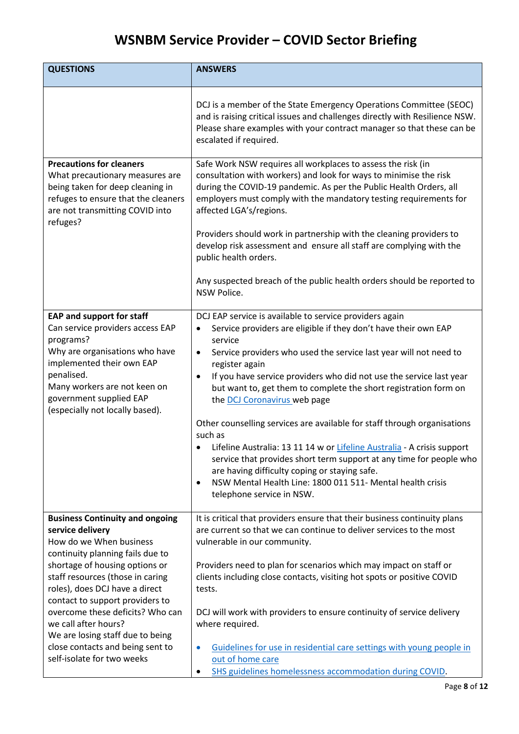| <b>QUESTIONS</b>                                                                                                                                                                             | <b>ANSWERS</b>                                                                                                                                                                                                                                                                                                                                                                 |
|----------------------------------------------------------------------------------------------------------------------------------------------------------------------------------------------|--------------------------------------------------------------------------------------------------------------------------------------------------------------------------------------------------------------------------------------------------------------------------------------------------------------------------------------------------------------------------------|
|                                                                                                                                                                                              | DCJ is a member of the State Emergency Operations Committee (SEOC)<br>and is raising critical issues and challenges directly with Resilience NSW.<br>Please share examples with your contract manager so that these can be<br>escalated if required.                                                                                                                           |
| <b>Precautions for cleaners</b><br>What precautionary measures are<br>being taken for deep cleaning in<br>refuges to ensure that the cleaners<br>are not transmitting COVID into<br>refuges? | Safe Work NSW requires all workplaces to assess the risk (in<br>consultation with workers) and look for ways to minimise the risk<br>during the COVID-19 pandemic. As per the Public Health Orders, all<br>employers must comply with the mandatory testing requirements for<br>affected LGA's/regions.<br>Providers should work in partnership with the cleaning providers to |
|                                                                                                                                                                                              | develop risk assessment and ensure all staff are complying with the<br>public health orders.                                                                                                                                                                                                                                                                                   |
|                                                                                                                                                                                              | Any suspected breach of the public health orders should be reported to<br>NSW Police.                                                                                                                                                                                                                                                                                          |
| <b>EAP and support for staff</b>                                                                                                                                                             | DCJ EAP service is available to service providers again                                                                                                                                                                                                                                                                                                                        |
| Can service providers access EAP<br>programs?                                                                                                                                                | Service providers are eligible if they don't have their own EAP<br>$\bullet$<br>service                                                                                                                                                                                                                                                                                        |
| Why are organisations who have<br>implemented their own EAP                                                                                                                                  | Service providers who used the service last year will not need to<br>$\bullet$<br>register again                                                                                                                                                                                                                                                                               |
| penalised.<br>Many workers are not keen on<br>government supplied EAP<br>(especially not locally based).                                                                                     | If you have service providers who did not use the service last year<br>$\bullet$<br>but want to, get them to complete the short registration form on<br>the DCJ Coronavirus web page                                                                                                                                                                                           |
|                                                                                                                                                                                              | Other counselling services are available for staff through organisations<br>such as                                                                                                                                                                                                                                                                                            |
|                                                                                                                                                                                              | Lifeline Australia: 13 11 14 w or Lifeline Australia - A crisis support<br>service that provides short term support at any time for people who<br>are having difficulty coping or staying safe.                                                                                                                                                                                |
|                                                                                                                                                                                              | NSW Mental Health Line: 1800 011 511- Mental health crisis<br>$\bullet$<br>telephone service in NSW.                                                                                                                                                                                                                                                                           |
| <b>Business Continuity and ongoing</b>                                                                                                                                                       | It is critical that providers ensure that their business continuity plans                                                                                                                                                                                                                                                                                                      |
| service delivery<br>How do we When business                                                                                                                                                  | are current so that we can continue to deliver services to the most                                                                                                                                                                                                                                                                                                            |
| continuity planning fails due to                                                                                                                                                             | vulnerable in our community.                                                                                                                                                                                                                                                                                                                                                   |
| shortage of housing options or                                                                                                                                                               | Providers need to plan for scenarios which may impact on staff or                                                                                                                                                                                                                                                                                                              |
| staff resources (those in caring                                                                                                                                                             | clients including close contacts, visiting hot spots or positive COVID                                                                                                                                                                                                                                                                                                         |
| roles), does DCJ have a direct                                                                                                                                                               | tests.                                                                                                                                                                                                                                                                                                                                                                         |
| contact to support providers to<br>overcome these deficits? Who can                                                                                                                          | DCJ will work with providers to ensure continuity of service delivery                                                                                                                                                                                                                                                                                                          |
| we call after hours?                                                                                                                                                                         | where required.                                                                                                                                                                                                                                                                                                                                                                |
| We are losing staff due to being                                                                                                                                                             |                                                                                                                                                                                                                                                                                                                                                                                |
| close contacts and being sent to<br>self-isolate for two weeks                                                                                                                               | Guidelines for use in residential care settings with young people in<br>$\bullet$<br>out of home care                                                                                                                                                                                                                                                                          |
|                                                                                                                                                                                              | SHS guidelines homelessness accommodation during COVID.<br>٠                                                                                                                                                                                                                                                                                                                   |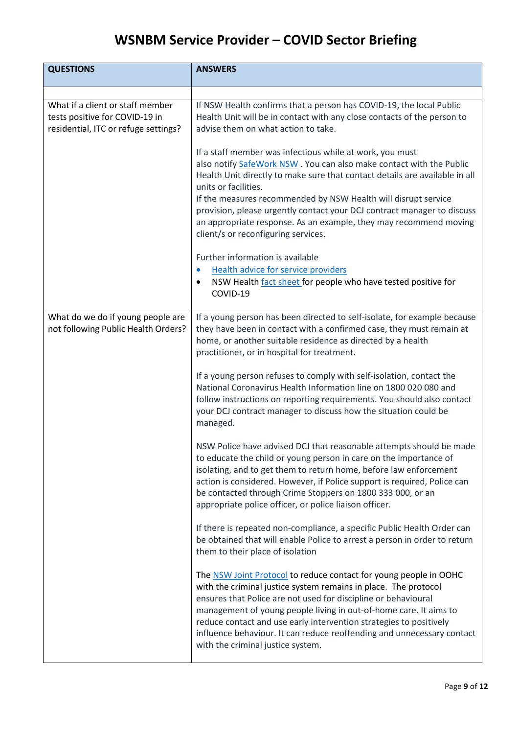| <b>QUESTIONS</b>                                                                                           | <b>ANSWERS</b>                                                                                                                                                                                                                                                                                                                                                                                                                                                                                  |
|------------------------------------------------------------------------------------------------------------|-------------------------------------------------------------------------------------------------------------------------------------------------------------------------------------------------------------------------------------------------------------------------------------------------------------------------------------------------------------------------------------------------------------------------------------------------------------------------------------------------|
|                                                                                                            |                                                                                                                                                                                                                                                                                                                                                                                                                                                                                                 |
| What if a client or staff member<br>tests positive for COVID-19 in<br>residential, ITC or refuge settings? | If NSW Health confirms that a person has COVID-19, the local Public<br>Health Unit will be in contact with any close contacts of the person to<br>advise them on what action to take.                                                                                                                                                                                                                                                                                                           |
|                                                                                                            | If a staff member was infectious while at work, you must<br>also notify SafeWork NSW. You can also make contact with the Public<br>Health Unit directly to make sure that contact details are available in all<br>units or facilities.<br>If the measures recommended by NSW Health will disrupt service<br>provision, please urgently contact your DCJ contract manager to discuss<br>an appropriate response. As an example, they may recommend moving<br>client/s or reconfiguring services. |
|                                                                                                            | Further information is available<br><b>Health advice for service providers</b><br>$\bullet$<br>NSW Health fact sheet for people who have tested positive for<br>$\bullet$<br>COVID-19                                                                                                                                                                                                                                                                                                           |
| What do we do if young people are<br>not following Public Health Orders?                                   | If a young person has been directed to self-isolate, for example because<br>they have been in contact with a confirmed case, they must remain at<br>home, or another suitable residence as directed by a health<br>practitioner, or in hospital for treatment.                                                                                                                                                                                                                                  |
|                                                                                                            | If a young person refuses to comply with self-isolation, contact the<br>National Coronavirus Health Information line on 1800 020 080 and<br>follow instructions on reporting requirements. You should also contact<br>your DCJ contract manager to discuss how the situation could be<br>managed.                                                                                                                                                                                               |
|                                                                                                            | NSW Police have advised DCJ that reasonable attempts should be made<br>to educate the child or young person in care on the importance of<br>isolating, and to get them to return home, before law enforcement<br>action is considered. However, if Police support is required, Police can<br>be contacted through Crime Stoppers on 1800 333 000, or an<br>appropriate police officer, or police liaison officer.                                                                               |
|                                                                                                            | If there is repeated non-compliance, a specific Public Health Order can<br>be obtained that will enable Police to arrest a person in order to return<br>them to their place of isolation                                                                                                                                                                                                                                                                                                        |
|                                                                                                            | The NSW Joint Protocol to reduce contact for young people in OOHC<br>with the criminal justice system remains in place. The protocol<br>ensures that Police are not used for discipline or behavioural<br>management of young people living in out-of-home care. It aims to<br>reduce contact and use early intervention strategies to positively<br>influence behaviour. It can reduce reoffending and unnecessary contact<br>with the criminal justice system.                                |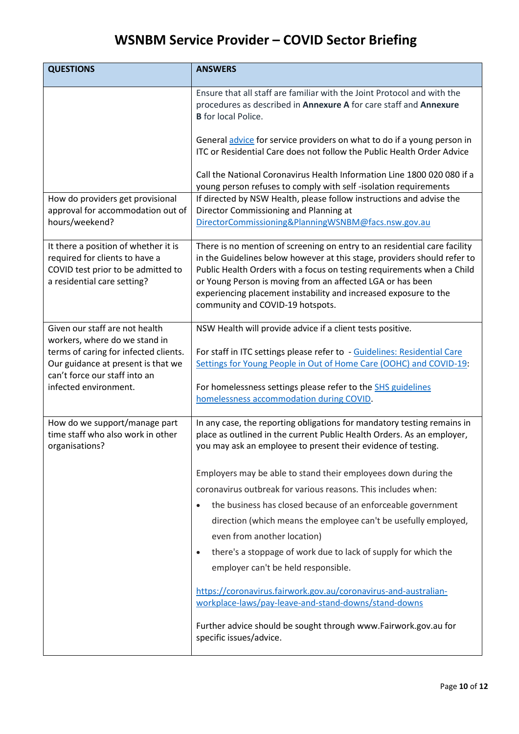| <b>QUESTIONS</b>                                                                                                                                                                                         | <b>ANSWERS</b>                                                                                                                                                                                                                                                                                                                                                                                        |
|----------------------------------------------------------------------------------------------------------------------------------------------------------------------------------------------------------|-------------------------------------------------------------------------------------------------------------------------------------------------------------------------------------------------------------------------------------------------------------------------------------------------------------------------------------------------------------------------------------------------------|
|                                                                                                                                                                                                          | Ensure that all staff are familiar with the Joint Protocol and with the<br>procedures as described in Annexure A for care staff and Annexure<br><b>B</b> for local Police.                                                                                                                                                                                                                            |
|                                                                                                                                                                                                          | General advice for service providers on what to do if a young person in<br>ITC or Residential Care does not follow the Public Health Order Advice                                                                                                                                                                                                                                                     |
|                                                                                                                                                                                                          | Call the National Coronavirus Health Information Line 1800 020 080 if a<br>young person refuses to comply with self-isolation requirements                                                                                                                                                                                                                                                            |
| How do providers get provisional<br>approval for accommodation out of<br>hours/weekend?                                                                                                                  | If directed by NSW Health, please follow instructions and advise the<br>Director Commissioning and Planning at<br>DirectorCommissioning&PlanningWSNBM@facs.nsw.gov.au                                                                                                                                                                                                                                 |
| It there a position of whether it is<br>required for clients to have a<br>COVID test prior to be admitted to<br>a residential care setting?                                                              | There is no mention of screening on entry to an residential care facility<br>in the Guidelines below however at this stage, providers should refer to<br>Public Health Orders with a focus on testing requirements when a Child<br>or Young Person is moving from an affected LGA or has been<br>experiencing placement instability and increased exposure to the<br>community and COVID-19 hotspots. |
| Given our staff are not health<br>workers, where do we stand in<br>terms of caring for infected clients.<br>Our guidance at present is that we<br>can't force our staff into an<br>infected environment. | NSW Health will provide advice if a client tests positive.<br>For staff in ITC settings please refer to - Guidelines: Residential Care<br>Settings for Young People in Out of Home Care (OOHC) and COVID-19:<br>For homelessness settings please refer to the SHS guidelines<br>homelessness accommodation during COVID.                                                                              |
| How do we support/manage part<br>time staff who also work in other<br>organisations?                                                                                                                     | In any case, the reporting obligations for mandatory testing remains in<br>place as outlined in the current Public Health Orders. As an employer,<br>you may ask an employee to present their evidence of testing.                                                                                                                                                                                    |
|                                                                                                                                                                                                          | Employers may be able to stand their employees down during the                                                                                                                                                                                                                                                                                                                                        |
|                                                                                                                                                                                                          | coronavirus outbreak for various reasons. This includes when:                                                                                                                                                                                                                                                                                                                                         |
|                                                                                                                                                                                                          | the business has closed because of an enforceable government<br>direction (which means the employee can't be usefully employed,<br>even from another location)                                                                                                                                                                                                                                        |
|                                                                                                                                                                                                          | there's a stoppage of work due to lack of supply for which the<br>$\bullet$                                                                                                                                                                                                                                                                                                                           |
|                                                                                                                                                                                                          | employer can't be held responsible.                                                                                                                                                                                                                                                                                                                                                                   |
|                                                                                                                                                                                                          | https://coronavirus.fairwork.gov.au/coronavirus-and-australian-<br>workplace-laws/pay-leave-and-stand-downs/stand-downs                                                                                                                                                                                                                                                                               |
|                                                                                                                                                                                                          | Further advice should be sought through www.Fairwork.gov.au for<br>specific issues/advice.                                                                                                                                                                                                                                                                                                            |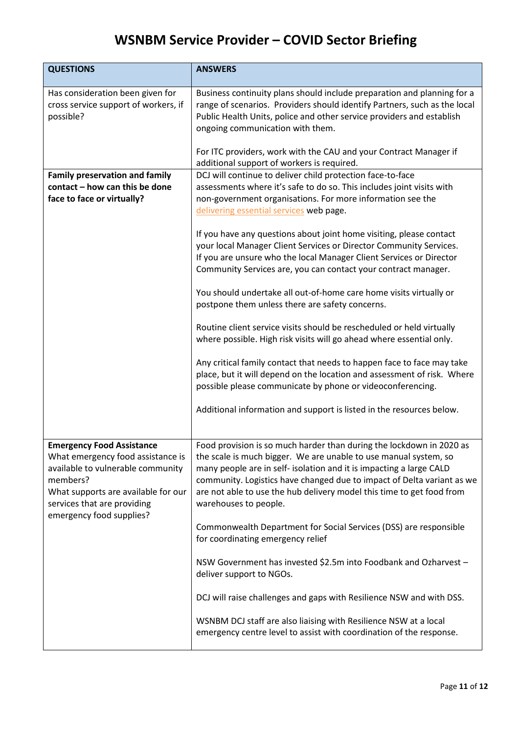| <b>QUESTIONS</b>                                                                                                                                                                                                         | <b>ANSWERS</b>                                                                                                                                                                                                                                                                                                                                                                              |
|--------------------------------------------------------------------------------------------------------------------------------------------------------------------------------------------------------------------------|---------------------------------------------------------------------------------------------------------------------------------------------------------------------------------------------------------------------------------------------------------------------------------------------------------------------------------------------------------------------------------------------|
| Has consideration been given for<br>cross service support of workers, if<br>possible?                                                                                                                                    | Business continuity plans should include preparation and planning for a<br>range of scenarios. Providers should identify Partners, such as the local<br>Public Health Units, police and other service providers and establish<br>ongoing communication with them.<br>For ITC providers, work with the CAU and your Contract Manager if                                                      |
|                                                                                                                                                                                                                          | additional support of workers is required.                                                                                                                                                                                                                                                                                                                                                  |
| <b>Family preservation and family</b><br>contact - how can this be done<br>face to face or virtually?                                                                                                                    | DCJ will continue to deliver child protection face-to-face<br>assessments where it's safe to do so. This includes joint visits with<br>non-government organisations. For more information see the<br>delivering essential services web page.                                                                                                                                                |
|                                                                                                                                                                                                                          | If you have any questions about joint home visiting, please contact<br>your local Manager Client Services or Director Community Services.<br>If you are unsure who the local Manager Client Services or Director<br>Community Services are, you can contact your contract manager.                                                                                                          |
|                                                                                                                                                                                                                          | You should undertake all out-of-home care home visits virtually or<br>postpone them unless there are safety concerns.                                                                                                                                                                                                                                                                       |
|                                                                                                                                                                                                                          | Routine client service visits should be rescheduled or held virtually<br>where possible. High risk visits will go ahead where essential only.                                                                                                                                                                                                                                               |
|                                                                                                                                                                                                                          | Any critical family contact that needs to happen face to face may take<br>place, but it will depend on the location and assessment of risk. Where<br>possible please communicate by phone or videoconferencing.                                                                                                                                                                             |
|                                                                                                                                                                                                                          | Additional information and support is listed in the resources below.                                                                                                                                                                                                                                                                                                                        |
| <b>Emergency Food Assistance</b><br>What emergency food assistance is<br>available to vulnerable community<br>members?<br>What supports are available for our<br>services that are providing<br>emergency food supplies? | Food provision is so much harder than during the lockdown in 2020 as<br>the scale is much bigger. We are unable to use manual system, so<br>many people are in self- isolation and it is impacting a large CALD<br>community. Logistics have changed due to impact of Delta variant as we<br>are not able to use the hub delivery model this time to get food from<br>warehouses to people. |
|                                                                                                                                                                                                                          | Commonwealth Department for Social Services (DSS) are responsible<br>for coordinating emergency relief                                                                                                                                                                                                                                                                                      |
|                                                                                                                                                                                                                          | NSW Government has invested \$2.5m into Foodbank and Ozharvest -<br>deliver support to NGOs.                                                                                                                                                                                                                                                                                                |
|                                                                                                                                                                                                                          | DCJ will raise challenges and gaps with Resilience NSW and with DSS.                                                                                                                                                                                                                                                                                                                        |
|                                                                                                                                                                                                                          | WSNBM DCJ staff are also liaising with Resilience NSW at a local<br>emergency centre level to assist with coordination of the response.                                                                                                                                                                                                                                                     |